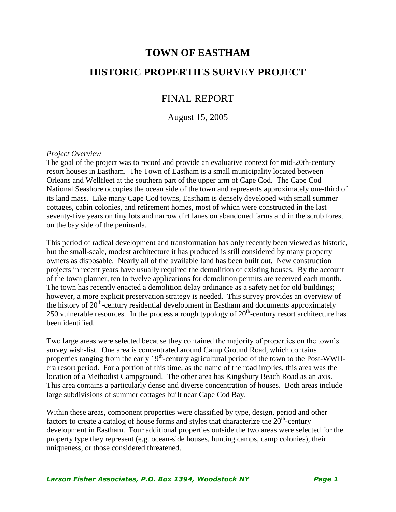# **TOWN OF EASTHAM HISTORIC PROPERTIES SURVEY PROJECT**

### FINAL REPORT

August 15, 2005

#### *Project Overview*

The goal of the project was to record and provide an evaluative context for mid-20th-century resort houses in Eastham. The Town of Eastham is a small municipality located between Orleans and Wellfleet at the southern part of the upper arm of Cape Cod. The Cape Cod National Seashore occupies the ocean side of the town and represents approximately one-third of its land mass. Like many Cape Cod towns, Eastham is densely developed with small summer cottages, cabin colonies, and retirement homes, most of which were constructed in the last seventy-five years on tiny lots and narrow dirt lanes on abandoned farms and in the scrub forest on the bay side of the peninsula.

This period of radical development and transformation has only recently been viewed as historic, but the small-scale, modest architecture it has produced is still considered by many property owners as disposable. Nearly all of the available land has been built out. New construction projects in recent years have usually required the demolition of existing houses. By the account of the town planner, ten to twelve applications for demolition permits are received each month. The town has recently enacted a demolition delay ordinance as a safety net for old buildings; however, a more explicit preservation strategy is needed. This survey provides an overview of the history of  $20<sup>th</sup>$ -century residential development in Eastham and documents approximately 250 vulnerable resources. In the process a rough typology of  $20<sup>th</sup>$ -century resort architecture has been identified.

Two large areas were selected because they contained the majority of properties on the town's survey wish-list. One area is concentrated around Camp Ground Road, which contains properties ranging from the early 19<sup>th</sup>-century agricultural period of the town to the Post-WWIIera resort period. For a portion of this time, as the name of the road implies, this area was the location of a Methodist Campground. The other area has Kingsbury Beach Road as an axis. This area contains a particularly dense and diverse concentration of houses. Both areas include large subdivisions of summer cottages built near Cape Cod Bay.

Within these areas, component properties were classified by type, design, period and other factors to create a catalog of house forms and styles that characterize the  $20<sup>th</sup>$ -century development in Eastham. Four additional properties outside the two areas were selected for the property type they represent (e.g. ocean-side houses, hunting camps, camp colonies), their uniqueness, or those considered threatened.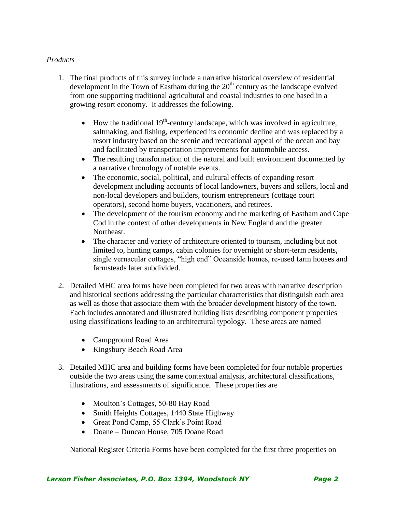#### *Products*

- 1. The final products of this survey include a narrative historical overview of residential development in the Town of Eastham during the  $20<sup>th</sup>$  century as the landscape evolved from one supporting traditional agricultural and coastal industries to one based in a growing resort economy. It addresses the following.
	- $\bullet$  How the traditional 19<sup>th</sup>-century landscape, which was involved in agriculture, saltmaking, and fishing, experienced its economic decline and was replaced by a resort industry based on the scenic and recreational appeal of the ocean and bay and facilitated by transportation improvements for automobile access.
	- The resulting transformation of the natural and built environment documented by a narrative chronology of notable events.
	- The economic, social, political, and cultural effects of expanding resort development including accounts of local landowners, buyers and sellers, local and non-local developers and builders, tourism entrepreneurs (cottage court operators), second home buyers, vacationers, and retirees.
	- The development of the tourism economy and the marketing of Eastham and Cape Cod in the context of other developments in New England and the greater Northeast.
	- The character and variety of architecture oriented to tourism, including but not limited to, hunting camps, cabin colonies for overnight or short-term residents, single vernacular cottages, "high end" Oceanside homes, re-used farm houses and farmsteads later subdivided.
- 2. Detailed MHC area forms have been completed for two areas with narrative description and historical sections addressing the particular characteristics that distinguish each area as well as those that associate them with the broader development history of the town. Each includes annotated and illustrated building lists describing component properties using classifications leading to an architectural typology. These areas are named
	- Campground Road Area
	- Kingsbury Beach Road Area
- 3. Detailed MHC area and building forms have been completed for four notable properties outside the two areas using the same contextual analysis, architectural classifications, illustrations, and assessments of significance. These properties are
	- Moulton's Cottages, 50-80 Hay Road
	- Smith Heights Cottages, 1440 State Highway
	- Great Pond Camp, 55 Clark's Point Road
	- Doane Duncan House, 705 Doane Road

National Register Criteria Forms have been completed for the first three properties on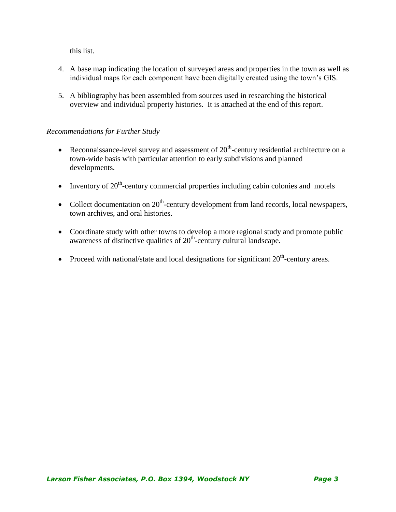this list.

- 4. A base map indicating the location of surveyed areas and properties in the town as well as individual maps for each component have been digitally created using the town's GIS.
- 5. A bibliography has been assembled from sources used in researching the historical overview and individual property histories. It is attached at the end of this report.

#### *Recommendations for Further Study*

- Reconnaissance-level survey and assessment of  $20<sup>th</sup>$ -century residential architecture on a town-wide basis with particular attention to early subdivisions and planned developments.
- Inventory of  $20<sup>th</sup>$ -century commercial properties including cabin colonies and motels
- Collect documentation on  $20<sup>th</sup>$ -century development from land records, local newspapers, town archives, and oral histories.
- Coordinate study with other towns to develop a more regional study and promote public awareness of distinctive qualities of  $20<sup>th</sup>$ -century cultural landscape.
- Proceed with national/state and local designations for significant  $20<sup>th</sup>$ -century areas.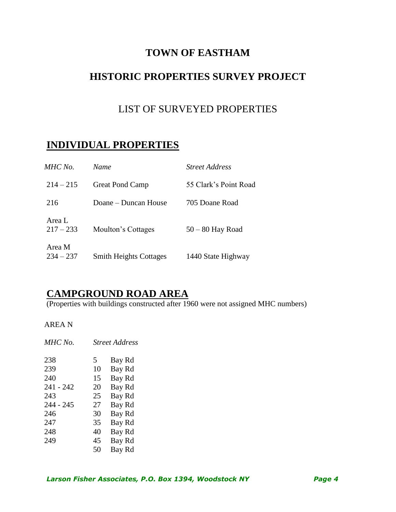## **TOWN OF EASTHAM**

# **HISTORIC PROPERTIES SURVEY PROJECT**

## LIST OF SURVEYED PROPERTIES

# **INDIVIDUAL PROPERTIES**

| MHC No.               | Name                          | <i>Street Address</i> |
|-----------------------|-------------------------------|-----------------------|
| $214 - 215$           | <b>Great Pond Camp</b>        | 55 Clark's Point Road |
| 216                   | Doane – Duncan House          | 705 Doane Road        |
| Area L<br>$217 - 233$ | Moulton's Cottages            | $50 - 80$ Hay Road    |
| Area M<br>$234 - 237$ | <b>Smith Heights Cottages</b> | 1440 State Highway    |

### **CAMPGROUND ROAD AREA**

(Properties with buildings constructed after 1960 were not assigned MHC numbers)

AREA N

| MHC No.   |    | <b>Street Address</b> |
|-----------|----|-----------------------|
| 238       | 5  | Bay Rd                |
| 239       | 10 | Bay Rd                |
| 240       | 15 | Bay Rd                |
| 241 - 242 | 20 | Bay Rd                |
| 243       | 25 | Bay Rd                |
| 244 - 245 | 27 | Bay Rd                |
| 246       | 30 | Bay Rd                |
| 247       | 35 | Bay Rd                |
| 248       | 40 | Bay Rd                |
| 249       | 45 | Bay Rd                |
|           | 50 | Bay Rd                |
|           |    |                       |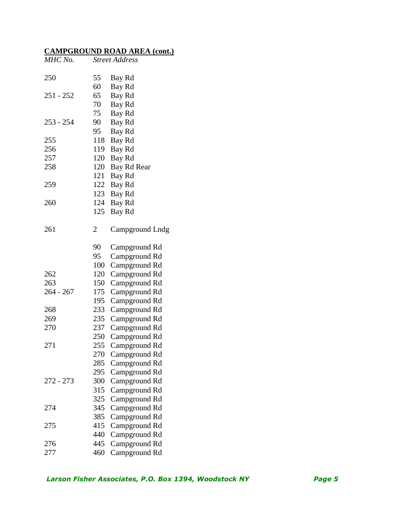| MHC No.     |                | <b>Street Address</b> |
|-------------|----------------|-----------------------|
| 250         | 55             | Bay Rd                |
|             | 60             | Bay Rd                |
| $251 - 252$ | 65             | Bay Rd                |
|             | 70             | Bay Rd                |
|             | 75             | Bay Rd                |
| $253 - 254$ | 90             | Bay Rd                |
|             | 95             | Bay Rd                |
| 255         | 118            | Bay Rd                |
| 256         | 119            | Bay Rd                |
| 257         | 120            | Bay Rd                |
| 258         | 120            | Bay Rd Rear           |
|             | 121            | Bay Rd                |
| 259         | 122            | Bay Rd                |
|             | 123            | Bay Rd                |
| 260         | 124            | Bay Rd                |
|             | 125            | Bay Rd                |
| 261         | $\overline{2}$ | Campground Lndg       |
|             | 90             | Campground Rd         |
|             | 95             | Campground Rd         |
|             | 100            | Campground Rd         |
| 262         | 120            | Campground Rd         |
| 263         | 150            | Campground Rd         |
| $264 - 267$ | 175            | Campground Rd         |
|             | 195            | Campground Rd         |
| 268         | 233            | Campground Rd         |
| 269         | 235            | Campground Rd         |
| 270         | 237            | Campground Rd         |
|             | 250            | Campground Rd         |
| 271         | 255            | Campground Rd         |
|             | 270            | Campground Rd         |
|             | 285            | Campground Rd         |
|             | 295            | Campground Rd         |
| 272 - 273   | 300            | Campground Rd         |
|             | 315            | Campground Rd         |
|             | 325            | Campground Rd         |
| 274         | 345            | Campground Rd         |
|             | 385            | Campground Rd         |
| 275         | 415            | Campground Rd         |
|             | 440            | Campground Rd         |
| 276         | 445            | Campground Rd         |
| 277         | 460            | Campground Rd         |
|             |                |                       |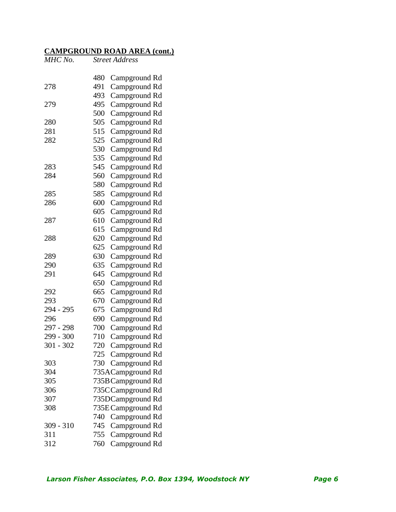| MHC No.     | <b>Street Address</b> |                                |
|-------------|-----------------------|--------------------------------|
|             | 480                   |                                |
| 278         | 491                   | Campground Rd<br>Campground Rd |
|             | 493                   | Campground Rd                  |
| 279         | 495                   |                                |
|             | 500                   | Campground Rd                  |
| 280         | 505                   | Campground Rd                  |
| 281         | 515                   | Campground Rd                  |
| 282         | 525                   | Campground Rd                  |
|             | 530                   | Campground Rd                  |
|             |                       | Campground Rd                  |
|             | 535                   | Campground Rd                  |
| 283         | 545                   | Campground Rd                  |
| 284         | 560                   | Campground Rd                  |
|             | 580                   | Campground Rd                  |
| 285         | 585                   | Campground Rd                  |
| 286         | 600                   | Campground Rd                  |
|             | 605                   | Campground Rd                  |
| 287         | 610                   | Campground Rd                  |
|             | 615                   | Campground Rd                  |
| 288         | 620                   | Campground Rd                  |
|             | 625                   | Campground Rd                  |
| 289         | 630                   | Campground Rd                  |
| 290         | 635                   | Campground Rd                  |
| 291         | 645                   | Campground Rd                  |
|             | 650                   | Campground Rd                  |
| 292         | 665                   | Campground Rd                  |
| 293         | 670                   | Campground Rd                  |
| 294 - 295   | 675                   | Campground Rd                  |
| 296         | 690                   | Campground Rd                  |
| 297 - 298   | 700                   | Campground Rd                  |
| 299 - 300   | 710                   | Campground Rd                  |
| 301 - 302   | 720                   | Campground Rd                  |
|             | 725                   | Campground Rd                  |
| 303         | 730                   | Campground Rd                  |
| 304         |                       | 735ACampground Rd              |
| 305         |                       | 735B Campground Rd             |
| 306         |                       | 735CCampground Rd              |
| 307         |                       | 735DCampground Rd              |
| 308         |                       | 735E Campground Rd             |
|             | 740                   | Campground Rd                  |
| $309 - 310$ | 745                   | Campground Rd                  |
| 311         | 755                   | Campground Rd                  |
| 312         | 760                   | Campground Rd                  |
|             |                       |                                |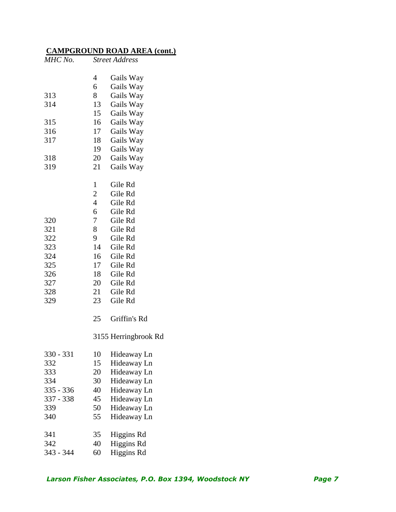| MHC No.   |                | <b>Street Address</b> |
|-----------|----------------|-----------------------|
|           | $\overline{4}$ | Gails Way             |
|           | 6              | Gails Way             |
| 313       | 8              | Gails Way             |
| 314       | 13             | Gails Way             |
|           | 15             | Gails Way             |
| 315       | 16             | Gails Way             |
| 316       | 17             | Gails Way             |
| 317       | 18             | Gails Way             |
|           | 19             | Gails Way             |
| 318       | 20             | Gails Way             |
| 319       | 21             | Gails Way             |
|           | 1              | Gile Rd               |
|           | $\overline{2}$ | Gile Rd               |
|           | $\overline{4}$ | Gile Rd               |
|           | 6              | Gile Rd               |
| 320       | $\overline{7}$ | Gile Rd               |
| 321       | 8              | Gile Rd               |
| 322       | 9              | Gile Rd               |
| 323       | 14             | Gile Rd               |
| 324       | 16             | Gile Rd               |
| 325       | 17             | Gile Rd               |
| 326       | 18             | Gile Rd               |
| 327       | 20             | Gile Rd               |
| 328       | 21             | Gile Rd               |
| 329       | 23             | Gile Rd               |
|           | 25             | Griffin's Rd          |
|           |                | 3155 Herringbrook Rd  |
| 330 - 331 | 10             | Hideaway Ln           |
| 332       | 15             | Hideaway Ln           |
| 333       | 20             | Hideaway Ln           |
| 334       | 30             | Hideaway Ln           |
| 335 - 336 | 40             | Hideaway Ln           |
| 337 - 338 | 45             | Hideaway Ln           |
| 339       | 50             | Hideaway Ln           |
| 340       | 55             | Hideaway Ln           |
| 341       | 35             | Higgins Rd            |
| 342       | 40             | <b>Higgins Rd</b>     |
| 343 - 344 | 60             | Higgins Rd            |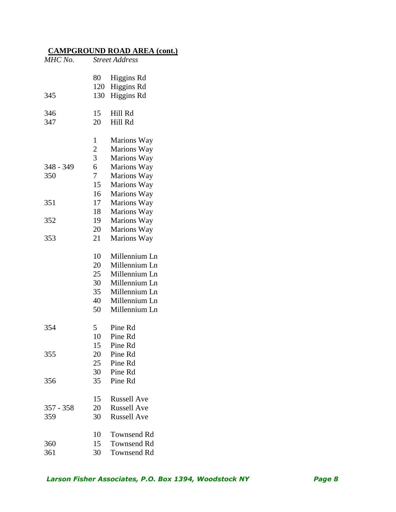| MHC No.     | <b>Street Address</b> |                                        |  |
|-------------|-----------------------|----------------------------------------|--|
| 345         | 80<br>120<br>130      | Higgins Rd<br>Higgins Rd<br>Higgins Rd |  |
|             |                       |                                        |  |
| 346         | 15                    | Hill Rd                                |  |
| 347         | 20                    | Hill Rd                                |  |
|             | $\mathbf{1}$          | Marions Way                            |  |
|             | $\overline{2}$        | Marions Way                            |  |
|             | $\overline{3}$        | Marions Way                            |  |
| 348 - 349   | 6                     | Marions Way                            |  |
| 350         | $\overline{7}$        | Marions Way                            |  |
|             | 15                    | Marions Way                            |  |
|             | 16                    | Marions Way                            |  |
| 351         | 17                    | Marions Way                            |  |
|             | 18                    | Marions Way                            |  |
| 352         | 19                    | Marions Way                            |  |
|             | 20                    | Marions Way                            |  |
| 353         | 21                    | Marions Way                            |  |
|             | 10                    | Millennium Ln                          |  |
|             | 20                    | Millennium Ln                          |  |
|             | 25                    | Millennium Ln                          |  |
|             | 30                    | Millennium Ln                          |  |
|             | 35                    | Millennium Ln                          |  |
|             | 40                    | Millennium Ln                          |  |
|             | 50                    | Millennium Ln                          |  |
| 354         | 5                     | Pine Rd                                |  |
|             | 10                    | Pine Rd                                |  |
|             | 15                    | Pine Rd                                |  |
| 355         | 20                    | Pine Rd                                |  |
|             | 25                    | Pine Rd                                |  |
|             | 30                    | Pine Rd                                |  |
| 356         | 35                    | Pine Rd                                |  |
|             | 15                    | <b>Russell Ave</b>                     |  |
| $357 - 358$ | 20                    | <b>Russell Ave</b>                     |  |
| 359         | 30                    | <b>Russell Ave</b>                     |  |
|             | 10                    | <b>Townsend Rd</b>                     |  |
| 360         | 15                    | <b>Townsend Rd</b>                     |  |
| 361         | 30                    | <b>Townsend Rd</b>                     |  |
|             |                       |                                        |  |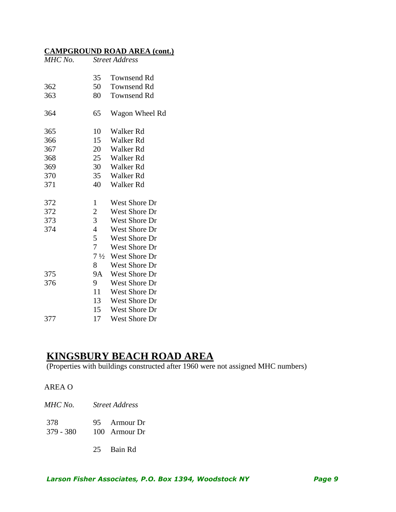| MHC No. |                | <b>Street Address</b> |
|---------|----------------|-----------------------|
|         |                |                       |
|         | 35             | Townsend Rd           |
| 362     | 50             | <b>Townsend Rd</b>    |
| 363     | 80             | <b>Townsend Rd</b>    |
| 364     | 65             | Wagon Wheel Rd        |
| 365     | 10             | <b>Walker Rd</b>      |
| 366     | 15             | <b>Walker Rd</b>      |
| 367     | 20             | <b>Walker Rd</b>      |
| 368     | 25             | <b>Walker Rd</b>      |
| 369     | 30             | <b>Walker Rd</b>      |
| 370     | 35             | <b>Walker Rd</b>      |
| 371     | 40             | <b>Walker Rd</b>      |
| 372     | $\mathbf{1}$   | <b>West Shore Dr</b>  |
| 372     | $\overline{c}$ | <b>West Shore Dr</b>  |
| 373     | $\overline{3}$ | West Shore Dr         |
| 374     | $\overline{4}$ | <b>West Shore Dr</b>  |
|         | 5              | West Shore Dr         |
|         | $\overline{7}$ | <b>West Shore Dr</b>  |
|         | $7\frac{1}{2}$ | <b>West Shore Dr</b>  |
|         | 8              | <b>West Shore Dr</b>  |
| 375     | <b>9A</b>      | <b>West Shore Dr</b>  |
| 376     | 9              | <b>West Shore Dr</b>  |
|         | 11             | West Shore Dr         |
|         | 13             | <b>West Shore Dr</b>  |
|         | 15             | <b>West Shore Dr</b>  |
| 377     | 17             | West Shore Dr         |

### **KINGSBURY BEACH ROAD AREA**

(Properties with buildings constructed after 1960 were not assigned MHC numbers)

*MHC No. Street Address*

| 378    |           | 95            | <b>Armour Dr</b> |  |
|--------|-----------|---------------|------------------|--|
| $\sim$ | $\bigcap$ | $\sim$ $\sim$ |                  |  |

- 379 380 100 Armour Dr
	- Bain Rd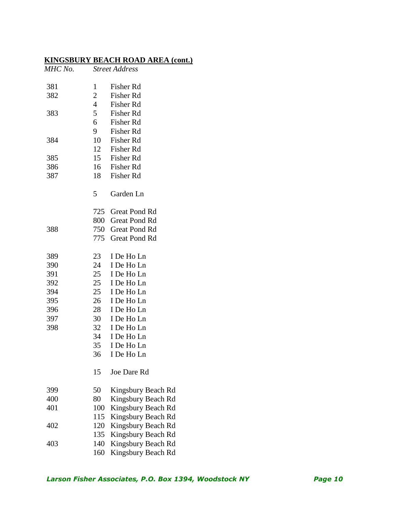| MHC No.    |                | <b>Street Address</b>     |
|------------|----------------|---------------------------|
| 381        | 1              | <b>Fisher Rd</b>          |
| 382        | 2              | Fisher Rd                 |
|            | $\overline{4}$ | Fisher Rd                 |
| 383        | 5 <sup>5</sup> | <b>Fisher Rd</b>          |
|            | 6              | Fisher Rd                 |
|            | 9              | Fisher Rd                 |
| 384        | 10             | Fisher Rd                 |
|            | 12             | Fisher Rd                 |
| 385<br>386 | 15             | Fisher Rd<br>16 Fisher Rd |
| 387        | 18             | Fisher Rd                 |
|            |                |                           |
|            | 5              | Garden Ln                 |
|            | 725            | <b>Great Pond Rd</b>      |
|            | 800            | <b>Great Pond Rd</b>      |
| 388        | 750            | <b>Great Pond Rd</b>      |
|            | 775            | <b>Great Pond Rd</b>      |
| 389        | 23             | I De Ho Ln                |
| 390        | 24             | I De Ho Ln                |
| 391        | 25             | I De Ho Ln                |
| 392        | 25             | I De Ho Ln                |
| 394        | 25             | I De Ho Ln                |
| 395        | 26             | I De Ho Ln                |
| 396        | 28             | I De Ho Ln                |
| 397        | 30             | I De Ho Ln                |
| 398        | 32             | I De Ho Ln                |
|            | 34             | I De Ho Ln                |
|            | 35             | I De Ho Ln                |
|            | 36             | I De Ho Ln                |
|            | 15             | Joe Dare Rd               |
| 399        | 50             | Kingsbury Beach Rd        |
| 400        | 80             | Kingsbury Beach Rd        |
| 401        | 100            | Kingsbury Beach Rd        |
|            | 115            | Kingsbury Beach Rd        |
| 402        | 120            | Kingsbury Beach Rd        |
|            | 135            | Kingsbury Beach Rd        |
| 403        | 140            | Kingsbury Beach Rd        |
|            | 160            | Kingsbury Beach Rd        |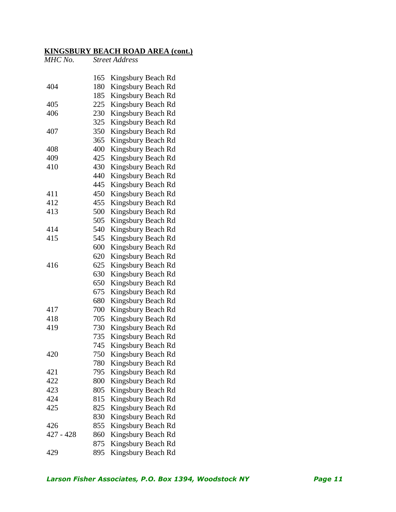| MHC No.   |     | <b>Street Address</b> |
|-----------|-----|-----------------------|
|           | 165 | Kingsbury Beach Rd    |
| 404       | 180 | Kingsbury Beach Rd    |
|           | 185 | Kingsbury Beach Rd    |
| 405       | 225 | Kingsbury Beach Rd    |
| 406       | 230 | Kingsbury Beach Rd    |
|           | 325 | Kingsbury Beach Rd    |
| 407       | 350 | Kingsbury Beach Rd    |
|           | 365 | Kingsbury Beach Rd    |
| 408       | 400 | Kingsbury Beach Rd    |
| 409       | 425 | Kingsbury Beach Rd    |
| 410       | 430 | Kingsbury Beach Rd    |
|           | 440 | Kingsbury Beach Rd    |
|           | 445 | Kingsbury Beach Rd    |
| 411       | 450 | Kingsbury Beach Rd    |
| 412       | 455 | Kingsbury Beach Rd    |
| 413       | 500 | Kingsbury Beach Rd    |
|           | 505 | Kingsbury Beach Rd    |
| 414       | 540 | Kingsbury Beach Rd    |
| 415       | 545 | Kingsbury Beach Rd    |
|           | 600 | Kingsbury Beach Rd    |
|           | 620 | Kingsbury Beach Rd    |
| 416       | 625 | Kingsbury Beach Rd    |
|           | 630 | Kingsbury Beach Rd    |
|           | 650 | Kingsbury Beach Rd    |
|           | 675 | Kingsbury Beach Rd    |
|           | 680 | Kingsbury Beach Rd    |
| 417       | 700 | Kingsbury Beach Rd    |
| 418       | 705 | Kingsbury Beach Rd    |
| 419       | 730 | Kingsbury Beach Rd    |
|           | 735 | Kingsbury Beach Rd    |
|           | 745 | Kingsbury Beach Rd    |
| 420       | 750 | Kingsbury Beach Rd    |
|           | 780 | Kingsbury Beach Rd    |
| 421       | 795 | Kingsbury Beach Rd    |
| 422       | 800 | Kingsbury Beach Rd    |
| 423       | 805 | Kingsbury Beach Rd    |
| 424       | 815 | Kingsbury Beach Rd    |
| 425       | 825 | Kingsbury Beach Rd    |
|           | 830 | Kingsbury Beach Rd    |
| 426       | 855 | Kingsbury Beach Rd    |
| 427 - 428 | 860 | Kingsbury Beach Rd    |
|           | 875 | Kingsbury Beach Rd    |
| 429       | 895 | Kingsbury Beach Rd    |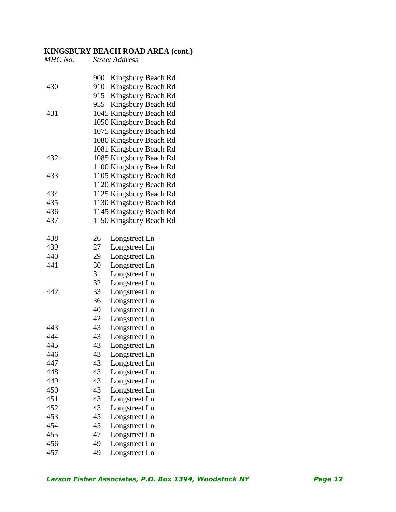| MHC No. |     | <b>Street Address</b>   |
|---------|-----|-------------------------|
|         | 900 | Kingsbury Beach Rd      |
| 430     |     | 910 Kingsbury Beach Rd  |
|         | 915 | Kingsbury Beach Rd      |
|         | 955 | Kingsbury Beach Rd      |
| 431     |     | 1045 Kingsbury Beach Rd |
|         |     | 1050 Kingsbury Beach Rd |
|         |     | 1075 Kingsbury Beach Rd |
|         |     | 1080 Kingsbury Beach Rd |
|         |     | 1081 Kingsbury Beach Rd |
| 432     |     | 1085 Kingsbury Beach Rd |
|         |     | 1100 Kingsbury Beach Rd |
| 433     |     | 1105 Kingsbury Beach Rd |
|         |     | 1120 Kingsbury Beach Rd |
| 434     |     | 1125 Kingsbury Beach Rd |
| 435     |     | 1130 Kingsbury Beach Rd |
| 436     |     | 1145 Kingsbury Beach Rd |
| 437     |     | 1150 Kingsbury Beach Rd |
| 438     | 26  | Longstreet Ln           |
| 439     | 27  | Longstreet Ln           |
| 440     | 29  | Longstreet Ln           |
| 441     | 30  | Longstreet Ln           |
|         | 31  | Longstreet Ln           |
|         | 32  | Longstreet Ln           |
| 442     | 33  | Longstreet Ln           |
|         | 36  | Longstreet Ln           |
|         | 40  | Longstreet Ln           |
|         | 42  | Longstreet Ln           |
| 443     | 43  | Longstreet Ln           |
| 444     | 43  | Longstreet Ln           |
| 445     | 43  | Longstreet Ln           |
| 446     | 43  | Longstreet Ln           |
| 447     | 43  | Longstreet Ln           |
| 448     | 43  | Longstreet Ln           |
| 449     | 43  | Longstreet Ln           |
| 450     | 43  | Longstreet Ln           |
| 451     | 43  | Longstreet Ln           |
| 452     | 43  | Longstreet Ln           |
| 453     | 45  | Longstreet Ln           |
| 454     | 45  | Longstreet Ln           |
| 455     | 47  | Longstreet Ln           |
| 456     | 49  | Longstreet Ln           |
| 457     | 49  | Longstreet Ln           |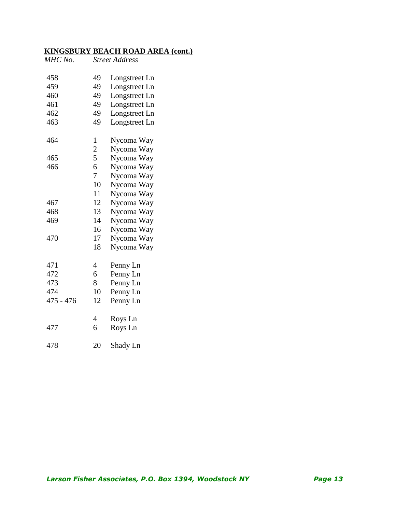| MHC No.   |                | <b>Street Address</b> |
|-----------|----------------|-----------------------|
| 458       | 49             | Longstreet Ln         |
| 459       | 49             | Longstreet Ln         |
| 460       | 49             | Longstreet Ln         |
| 461       | 49             | Longstreet Ln         |
| 462       | 49             | Longstreet Ln         |
| 463       | 49             | Longstreet Ln         |
| 464       | $\mathbf{1}$   | Nycoma Way            |
|           | $\overline{2}$ | Nycoma Way            |
| 465       | 5              | Nycoma Way            |
| 466       | 6              | Nycoma Way            |
|           | 7              | Nycoma Way            |
|           | 10             | Nycoma Way            |
|           | 11             | Nycoma Way            |
| 467       | 12             | Nycoma Way            |
| 468       | 13             | Nycoma Way            |
| 469       | 14             | Nycoma Way            |
|           | 16             | Nycoma Way            |
| 470       | 17             | Nycoma Way            |
|           | 18             | Nycoma Way            |
| 471       | $\overline{4}$ | Penny Ln              |
| 472       | 6              | Penny Ln              |
| 473       | 8              | Penny Ln              |
| 474       | 10             | Penny Ln              |
| 475 - 476 | 12             | Penny Ln              |
|           | 4              | Roys Ln               |
| 477       | 6              | Roys Ln               |
| 478       | 20             | Shady Ln              |
|           |                |                       |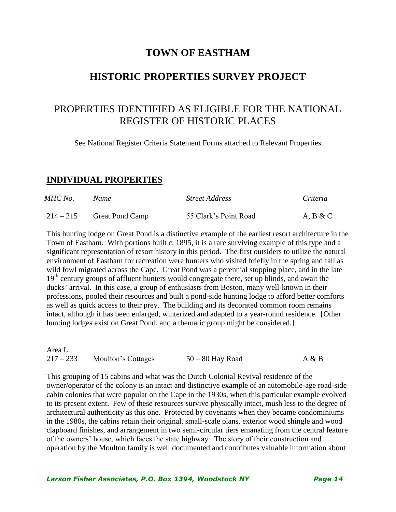### **TOWN OF EASTHAM**

### **HISTORIC PROPERTIES SURVEY PROJECT**

# PROPERTIES IDENTIFIED AS ELIGIBLE FOR THE NATIONAL REGISTER OF HISTORIC PLACES

See National Register Criteria Statement Forms attached to Relevant Properties

#### **INDIVIDUAL PROPERTIES**

| MHC No.     | Name                   | <b>Street Address</b> | Criteria |
|-------------|------------------------|-----------------------|----------|
| $214 - 215$ | <b>Great Pond Camp</b> | 55 Clark's Point Road | A, B & C |

This hunting lodge on Great Pond is a distinctive example of the earliest resort architecture in the Town of Eastham. With portions built c. 1895, it is a rare surviving example of this type and a significant representation of resort history in this period. The first outsiders to utilize the natural environment of Eastham for recreation were hunters who visited briefly in the spring and fall as wild fowl migrated across the Cape. Great Pond was a perennial stopping place, and in the late 19<sup>th</sup> century groups of affluent hunters would congregate there, set up blinds, and await the ducks' arrival. In this case, a group of enthusiasts from Boston, many well-known in their professions, pooled their resources and built a pond-side hunting lodge to afford better comforts as well as quick access to their prey. The building and its decorated common room remains intact, although it has been enlarged, winterized and adapted to a year-round residence. [Other hunting lodges exist on Great Pond, and a thematic group might be considered.]

| Area L      |                    |                    |       |
|-------------|--------------------|--------------------|-------|
| $217 - 233$ | Moulton's Cottages | $50 - 80$ Hay Road | A & B |

This grouping of 15 cabins and what was the Dutch Colonial Revival residence of the owner/operator of the colony is an intact and distinctive example of an automobile-age road-side cabin colonies that were popular on the Cape in the 1930s, when this particular example evolved to its present extent. Few of these resources survive physically intact, mush less to the degree of architectural authenticity as this one. Protected by covenants when they became condominiums in the 1980s, the cabins retain their original, small-scale plans, exterior wood shingle and wood clapboard finishes, and arrangement in two semi-circular tiers emanating from the central feature of the owners' house, which faces the state highway. The story of their construction and operation by the Moulton family is well documented and contributes valuable information about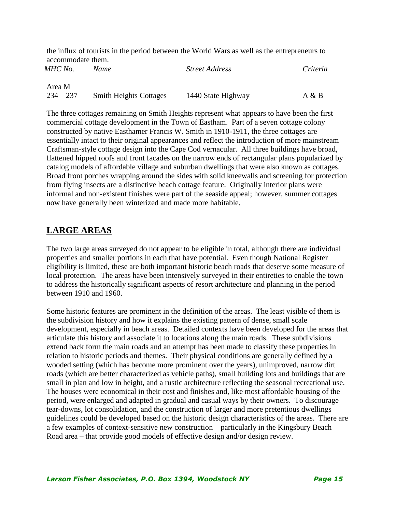the influx of tourists in the period between the World Wars as well as the entrepreneurs to accommodate them.

| MHC No.     | Name                          | <b>Street Address</b> | Criteria |
|-------------|-------------------------------|-----------------------|----------|
| Area M      |                               |                       |          |
| $234 - 237$ | <b>Smith Heights Cottages</b> | 1440 State Highway    | A & B    |

The three cottages remaining on Smith Heights represent what appears to have been the first commercial cottage development in the Town of Eastham. Part of a seven cottage colony constructed by native Easthamer Francis W. Smith in 1910-1911, the three cottages are essentially intact to their original appearances and reflect the introduction of more mainstream Craftsman-style cottage design into the Cape Cod vernacular. All three buildings have broad, flattened hipped roofs and front facades on the narrow ends of rectangular plans popularized by catalog models of affordable village and suburban dwellings that were also known as cottages. Broad front porches wrapping around the sides with solid kneewalls and screening for protection from flying insects are a distinctive beach cottage feature. Originally interior plans were informal and non-existent finishes were part of the seaside appeal; however, summer cottages now have generally been winterized and made more habitable.

### **LARGE AREAS**

The two large areas surveyed do not appear to be eligible in total, although there are individual properties and smaller portions in each that have potential. Even though National Register eligibility is limited, these are both important historic beach roads that deserve some measure of local protection. The areas have been intensively surveyed in their entireties to enable the town to address the historically significant aspects of resort architecture and planning in the period between 1910 and 1960.

Some historic features are prominent in the definition of the areas. The least visible of them is the subdivision history and how it explains the existing pattern of dense, small scale development, especially in beach areas. Detailed contexts have been developed for the areas that articulate this history and associate it to locations along the main roads. These subdivisions extend back form the main roads and an attempt has been made to classify these properties in relation to historic periods and themes. Their physical conditions are generally defined by a wooded setting (which has become more prominent over the years), unimproved, narrow dirt roads (which are better characterized as vehicle paths), small building lots and buildings that are small in plan and low in height, and a rustic architecture reflecting the seasonal recreational use. The houses were economical in their cost and finishes and, like most affordable housing of the period, were enlarged and adapted in gradual and casual ways by their owners. To discourage tear-downs, lot consolidation, and the construction of larger and more pretentious dwellings guidelines could be developed based on the historic design characteristics of the areas. There are a few examples of context-sensitive new construction – particularly in the Kingsbury Beach Road area – that provide good models of effective design and/or design review.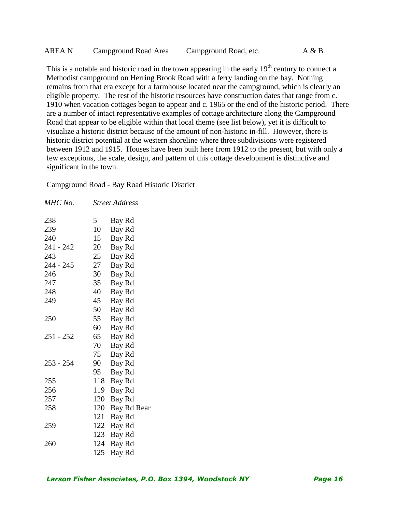| AREA N | Campground Road Area | Campground Road, etc. | A & B |
|--------|----------------------|-----------------------|-------|
|--------|----------------------|-----------------------|-------|

This is a notable and historic road in the town appearing in the early  $19<sup>th</sup>$  century to connect a Methodist campground on Herring Brook Road with a ferry landing on the bay. Nothing remains from that era except for a farmhouse located near the campground, which is clearly an eligible property. The rest of the historic resources have construction dates that range from c. 1910 when vacation cottages began to appear and c. 1965 or the end of the historic period. There are a number of intact representative examples of cottage architecture along the Campground Road that appear to be eligible within that local theme (see list below), yet it is difficult to visualize a historic district because of the amount of non-historic in-fill. However, there is historic district potential at the western shoreline where three subdivisions were registered between 1912 and 1915. Houses have been built here from 1912 to the present, but with only a few exceptions, the scale, design, and pattern of this cottage development is distinctive and significant in the town.

Campground Road - Bay Road Historic District

| MHC No.   |     | <b>Street Address</b> |
|-----------|-----|-----------------------|
| 238       | 5   | Bay Rd                |
| 239       | 10  | Bay Rd                |
| 240       | 15  | Bay Rd                |
| 241 - 242 | 20  | Bay Rd                |
| 243       | 25  | Bay Rd                |
| 244 - 245 | 27  | Bay Rd                |
| 246       | 30  | Bay Rd                |
| 247       | 35  | Bay Rd                |
| 248       | 40  | Bay Rd                |
| 249       | 45  | Bay Rd                |
|           | 50  | Bay Rd                |
| 250       | 55  | Bay Rd                |
|           | 60  | Bay Rd                |
| 251 - 252 | 65  | Bay Rd                |
|           | 70  | Bay Rd                |
|           | 75  | Bay Rd                |
| 253 - 254 | 90  | Bay Rd                |
|           | 95  | Bay Rd                |
| 255       | 118 | Bay Rd                |
| 256       | 119 | Bay Rd                |
| 257       | 120 | Bay Rd                |
| 258       | 120 | Bay Rd Rear           |
|           | 121 | Bay Rd                |
| 259       | 122 | Bay Rd                |
|           | 123 | Bay Rd                |
| 260       | 124 | Bay Rd                |
|           | 125 | Bay Rd                |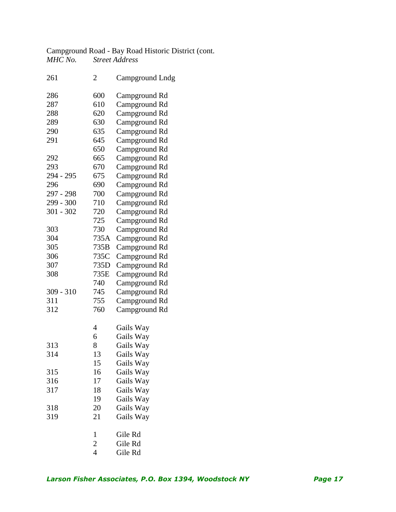Campground Road - Bay Road Historic District (cont.<br>
MHC No. Street Address *MHC No. Street Address*

| 261         | $\overline{2}$ | <b>Campground Lndg</b> |
|-------------|----------------|------------------------|
| 286         | 600            | Campground Rd          |
| 287         | 610            | Campground Rd          |
| 288         | 620            | Campground Rd          |
| 289         | 630            | Campground Rd          |
| 290         | 635            |                        |
| 291         | 645            | Campground Rd          |
|             |                | Campground Rd          |
|             | 650            | Campground Rd          |
| 292         | 665            | Campground Rd          |
| 293         | 670            | Campground Rd          |
| 294 - 295   | 675            | Campground Rd          |
| 296         | 690            | Campground Rd          |
| 297 - 298   | 700            | Campground Rd          |
| 299 - 300   | 710            | Campground Rd          |
| $301 - 302$ | 720            | Campground Rd          |
|             | 725            | Campground Rd          |
| 303         | 730            | Campground Rd          |
| 304         | 735A           | Campground Rd          |
| 305         | 735B           | Campground Rd          |
| 306         | 735C           | Campground Rd          |
| 307         | 735D           | Campground Rd          |
| 308         | 735E           | Campground Rd          |
|             | 740            | Campground Rd          |
| $309 - 310$ | 745            | Campground Rd          |
| 311         | 755            | Campground Rd          |
| 312         | 760            | Campground Rd          |
|             |                |                        |
|             | 4              | Gails Way              |
|             | 6              | Gails Way              |
| 313         | 8              | Gails Way              |
| 314         | 13             | Gails Way              |
|             | 15             | Gails Way              |
| 315         | 16             | Gails Way              |
| 316         | 17             | Gails Way              |
| 317         | 18             | Gails Way              |
|             | 19             | Gails Way              |
| 318         | 20             | Gails Way              |
| 319         | 21             | Gails Way              |
|             |                |                        |
|             | 1              | Gile Rd                |
|             | $\overline{c}$ | Gile Rd                |
|             | $\overline{4}$ | Gile Rd                |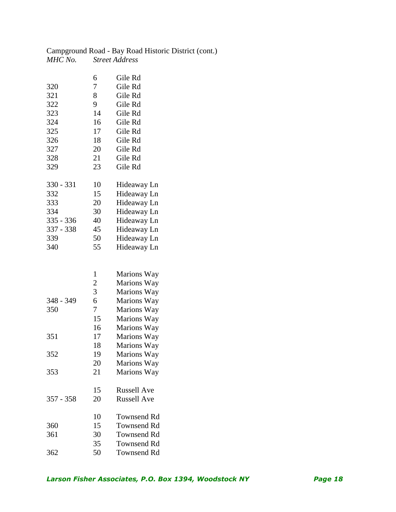|         | Campground Road - Bay Road Historic District (cont.) |
|---------|------------------------------------------------------|
| MHC No. | <b>Street Address</b>                                |

| 320         | 6<br>7         | Gile Rd<br>Gile Rd         |
|-------------|----------------|----------------------------|
| 321         | 8              | Gile Rd                    |
| 322         | 9              | Gile Rd                    |
| 323         | 14             | Gile Rd                    |
| 324         | 16             | Gile Rd                    |
| 325         | 17             | Gile Rd                    |
| 326         | 18             | Gile Rd                    |
| 327         | 20             | Gile Rd                    |
| 328         | 21             | Gile Rd                    |
| 329         | 23             | Gile Rd                    |
| 330 - 331   | 10             | Hideaway Ln                |
| 332         | 15             | Hideaway Ln                |
| 333         | 20             | Hideaway Ln                |
| 334         | 30             | Hideaway Ln                |
| 335 - 336   | 40             | Hideaway Ln                |
| 337 - 338   | 45             | Hideaway Ln                |
| 339         | 50             | Hideaway Ln                |
| 340         | 55             | Hideaway Ln                |
|             |                |                            |
|             | 1              | Marions Way                |
|             | $\overline{c}$ | Marions Way                |
|             | 3              | Marions Way                |
| 348 - 349   | 6              | Marions Way                |
| 350         | 7              | Marions Way                |
|             | 15             | Marions Way                |
|             | 16             | Marions Way                |
| 351         | 17             | Marions Way                |
|             | 18             | Marions Way                |
| 352         | 19             | Marions Way                |
|             | 20             | Marions Way                |
| 353         | 21             | Marions Way                |
|             | 15             | <b>Russell Ave</b>         |
| $357 - 358$ | 20             | <b>Russell Ave</b>         |
|             | 10             | Townsend Rd                |
| 360         | 15             | Townsend Rd                |
| 361         | 30             | <b>Townsend Rd</b>         |
| 362         | 35<br>50       | Townsend Rd<br>Townsend Rd |

50 Townsend Rd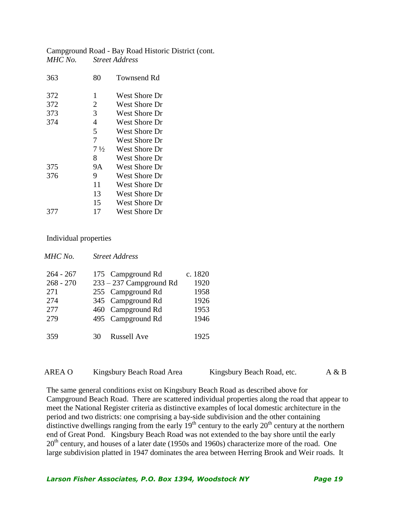Campground Road - Bay Road Historic District (cont. *MHC No. Street Address*

| 363 | 80             | <b>Townsend Rd</b>   |
|-----|----------------|----------------------|
| 372 | 1              | <b>West Shore Dr</b> |
| 372 | $\overline{2}$ | West Shore Dr        |
| 373 | 3              | West Shore Dr        |
| 374 | $\overline{4}$ | West Shore Dr        |
|     | 5              | West Shore Dr        |
|     | 7              | West Shore Dr        |
|     | $7\frac{1}{2}$ | <b>West Shore Dr</b> |
|     | 8              | West Shore Dr        |
| 375 | <b>9A</b>      | <b>West Shore Dr</b> |
| 376 | 9              | West Shore Dr        |
|     | 11             | West Shore Dr        |
|     | 13             | <b>West Shore Dr</b> |
|     | 15             | West Shore Dr        |
| 377 | 17             | West Shore Dr        |
|     |                |                      |

Individual properties

| MHC No.     |    | <b>Street Address</b>     |         |
|-------------|----|---------------------------|---------|
| $264 - 267$ |    | 175 Campground Rd         | c. 1820 |
| $268 - 270$ |    | $233 - 237$ Campground Rd | 1920    |
| 271         |    | 255 Campground Rd         | 1958    |
| 274         |    | 345 Campground Rd         | 1926    |
| 277         |    | 460 Campground Rd         | 1953    |
| 279         | 30 | 495 Campground Rd         | 1946    |
| 359         |    | <b>Russell Ave</b>        | 1925    |

| AREA O | Kingsbury Beach Road Area | Kingsbury Beach Road, etc. | A & B |
|--------|---------------------------|----------------------------|-------|
|        |                           |                            |       |

The same general conditions exist on Kingsbury Beach Road as described above for Campground Beach Road. There are scattered individual properties along the road that appear to meet the National Register criteria as distinctive examples of local domestic architecture in the period and two districts: one comprising a bay-side subdivision and the other containing distinctive dwellings ranging from the early  $19<sup>th</sup>$  century to the early  $20<sup>th</sup>$  century at the northern end of Great Pond. Kingsbury Beach Road was not extended to the bay shore until the early  $20<sup>th</sup>$  century, and houses of a later date (1950s and 1960s) characterize more of the road. One large subdivision platted in 1947 dominates the area between Herring Brook and Weir roads. It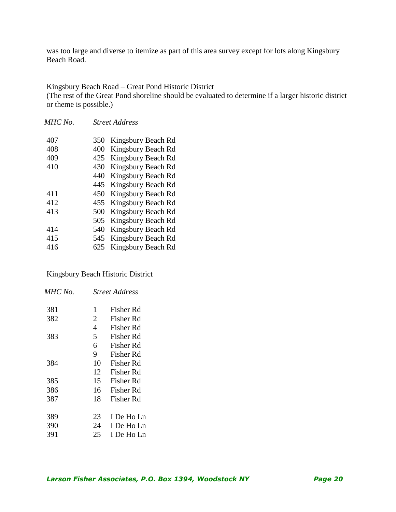was too large and diverse to itemize as part of this area survey except for lots along Kingsbury Beach Road.

Kingsbury Beach Road – Great Pond Historic District (The rest of the Great Pond shoreline should be evaluated to determine if a larger historic district or theme is possible.)

| MHC No. |     | <b>Street Address</b> |
|---------|-----|-----------------------|
| 407     | 350 | Kingsbury Beach Rd    |
| 408     | 400 | Kingsbury Beach Rd    |
| 409     | 425 | Kingsbury Beach Rd    |
| 410     | 430 | Kingsbury Beach Rd    |
|         | 440 | Kingsbury Beach Rd    |
|         | 445 | Kingsbury Beach Rd    |
| 411     | 450 | Kingsbury Beach Rd    |
| 412     | 455 | Kingsbury Beach Rd    |
| 413     | 500 | Kingsbury Beach Rd    |
|         | 505 | Kingsbury Beach Rd    |
| 414     | 540 | Kingsbury Beach Rd    |
| 415     | 545 | Kingsbury Beach Rd    |
| 416     | 625 | Kingsbury Beach Rd    |
|         |     |                       |

Kingsbury Beach Historic District

| MHC No. |                | <b>Street Address</b> |
|---------|----------------|-----------------------|
| 381     | 1              | Fisher Rd             |
| 382     | $\overline{2}$ | Fisher Rd             |
|         | 4              | Fisher Rd             |
| 383     | 5              | Fisher Rd             |
|         | 6              | Fisher Rd             |
|         | 9              | Fisher Rd             |
| 384     | 10             | Fisher Rd             |
|         | 12             | Fisher Rd             |
| 385     | 15             | Fisher Rd             |
| 386     | 16             | Fisher Rd             |
| 387     | 18             | Fisher Rd             |
|         |                |                       |
| 389     | 23             | I De Ho Ln            |
| 390     | 24             | I De Ho Ln            |
| 391     | 25             | I De Ho Ln            |
|         |                |                       |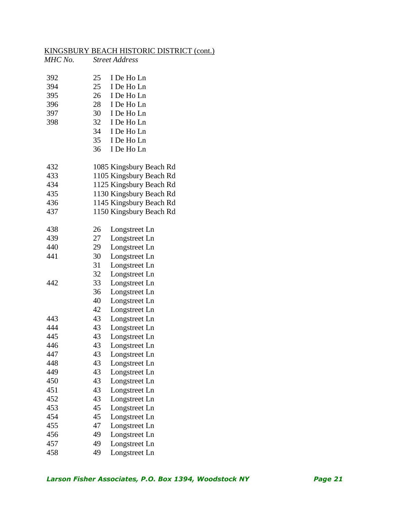### KINGSBURY BEACH HISTORIC DISTRICT (cont.)

| MHC No. |    | <b>Street Address</b>   |  |
|---------|----|-------------------------|--|
| 392     | 25 | I De Ho Ln              |  |
| 394     | 25 | I De Ho Ln              |  |
| 395     | 26 | I De Ho Ln              |  |
| 396     | 28 | I De Ho Ln              |  |
| 397     | 30 | I De Ho Ln              |  |
| 398     | 32 | I De Ho Ln              |  |
|         | 34 | I De Ho Ln              |  |
|         | 35 | I De Ho Ln              |  |
|         | 36 | I De Ho Ln              |  |
| 432     |    | 1085 Kingsbury Beach Rd |  |
| 433     |    | 1105 Kingsbury Beach Rd |  |
| 434     |    | 1125 Kingsbury Beach Rd |  |
| 435     |    | 1130 Kingsbury Beach Rd |  |
| 436     |    | 1145 Kingsbury Beach Rd |  |
| 437     |    | 1150 Kingsbury Beach Rd |  |
| 438     | 26 | Longstreet Ln           |  |
| 439     | 27 | Longstreet Ln           |  |
| 440     | 29 | Longstreet Ln           |  |
| 441     | 30 | Longstreet Ln           |  |
|         | 31 | Longstreet Ln           |  |
|         | 32 | Longstreet Ln           |  |
| 442     | 33 | Longstreet Ln           |  |
|         | 36 | Longstreet Ln           |  |
|         | 40 | Longstreet Ln           |  |
|         | 42 | Longstreet Ln           |  |
| 443     | 43 | Longstreet Ln           |  |
| 444     | 43 | Longstreet Ln           |  |
| 445     | 43 | Longstreet Ln           |  |
| 446     | 43 | Longstreet Ln           |  |
| 447     | 43 | Longstreet Ln           |  |
| 448     | 43 | Longstreet Ln           |  |
| 449     | 43 | Longstreet Ln           |  |
| 450     | 43 | Longstreet Ln           |  |
| 451     | 43 | Longstreet Ln           |  |
| 452     | 43 | Longstreet Ln           |  |
| 453     | 45 | Longstreet Ln           |  |
| 454     | 45 | Longstreet Ln           |  |
| 455     | 47 | Longstreet Ln           |  |
| 456     | 49 | Longstreet Ln           |  |
| 457     | 49 | Longstreet Ln           |  |
| 458     | 49 | Longstreet Ln           |  |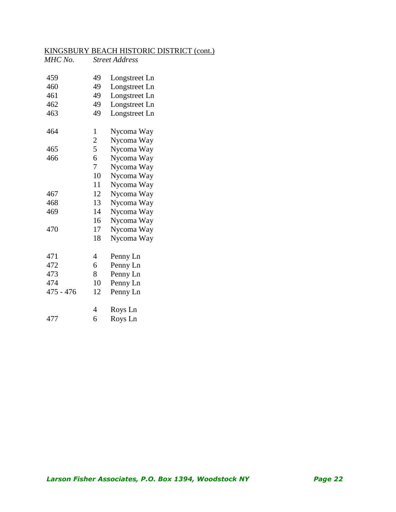#### KINGSBURY BEACH HISTORIC DISTRICT (cont.)

| MHC No.     |                | <b>Street Address</b> |  |
|-------------|----------------|-----------------------|--|
| 459         | 49             | Longstreet Ln         |  |
| 460         | 49             | Longstreet Ln         |  |
| 461         | 49             | Longstreet Ln         |  |
| 462         | 49             | Longstreet Ln         |  |
| 463         | 49             | Longstreet Ln         |  |
| 464         | 1              | Nycoma Way            |  |
|             | $\overline{2}$ | Nycoma Way            |  |
| 465         | 5              | Nycoma Way            |  |
| 466         | 6              | Nycoma Way            |  |
|             | 7              | Nycoma Way            |  |
|             | 10             | Nycoma Way            |  |
|             | 11             | Nycoma Way            |  |
| 467         | 12             | Nycoma Way            |  |
| 468         | 13             | Nycoma Way            |  |
| 469         | 14             | Nycoma Way            |  |
|             | 16             | Nycoma Way            |  |
| 470         | 17             | Nycoma Way            |  |
|             | 18             | Nycoma Way            |  |
| 471         | $\overline{4}$ | Penny Ln              |  |
| 472         | 6              | Penny Ln              |  |
| 473         | 8              | Penny Ln              |  |
| 474         | 10             | Penny Ln              |  |
| $475 - 476$ | 12             | Penny Ln              |  |
|             | 4              | Roys Ln               |  |
| 477         | 6              | Roys Ln               |  |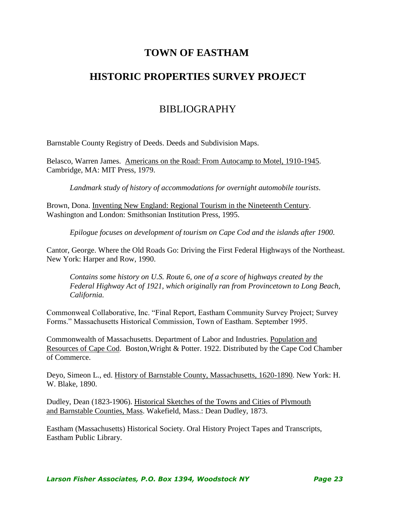### **TOWN OF EASTHAM**

### **HISTORIC PROPERTIES SURVEY PROJECT**

### BIBLIOGRAPHY

Barnstable County Registry of Deeds. Deeds and Subdivision Maps.

Belasco, Warren James. Americans on the Road: From Autocamp to Motel, 1910-1945. Cambridge, MA: MIT Press, 1979.

*Landmark study of history of accommodations for overnight automobile tourists.*

Brown, Dona. Inventing New England: Regional Tourism in the Nineteenth Century. Washington and London: Smithsonian Institution Press, 1995.

*Epilogue focuses on development of tourism on Cape Cod and the islands after 1900.*

Cantor, George. Where the Old Roads Go: Driving the First Federal Highways of the Northeast. New York: Harper and Row, 1990.

*Contains some history on U.S. Route 6, one of a score of highways created by the Federal Highway Act of 1921, which originally ran from Provincetown to Long Beach, California.* 

Commonweal Collaborative, Inc. "Final Report, Eastham Community Survey Project; Survey Forms." Massachusetts Historical Commission, Town of Eastham. September 1995.

Commonwealth of Massachusetts. Department of Labor and Industries. Population and Resources of Cape Cod. Boston,Wright & Potter. 1922. Distributed by the Cape Cod Chamber of Commerce.

Deyo, Simeon L., ed. History of Barnstable County, Massachusetts, 1620-1890. New York: H. W. Blake, 1890.

Dudley, Dean (1823-1906). Historical Sketches of the Towns and Cities of Plymouth and Barnstable Counties, Mass. Wakefield, Mass.: Dean Dudley, 1873.

Eastham (Massachusetts) Historical Society. Oral History Project Tapes and Transcripts, Eastham Public Library.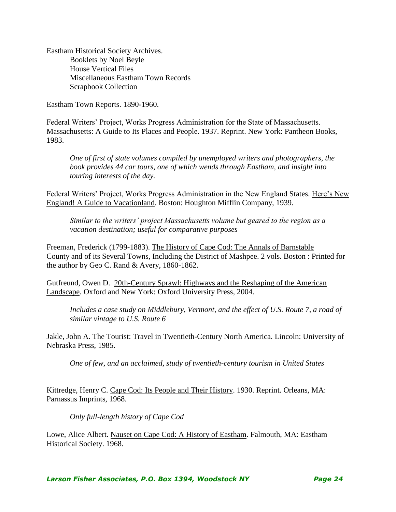Eastham Historical Society Archives. Booklets by Noel Beyle House Vertical Files Miscellaneous Eastham Town Records Scrapbook Collection

Eastham Town Reports. 1890-1960.

Federal Writers' Project, Works Progress Administration for the State of Massachusetts. Massachusetts: A Guide to Its Places and People. 1937. Reprint. New York: Pantheon Books, 1983.

*One of first of state volumes compiled by unemployed writers and photographers, the book provides 44 car tours, one of which wends through Eastham, and insight into touring interests of the day.*

Federal Writers' Project, Works Progress Administration in the New England States. Here's New England! A Guide to Vacationland. Boston: Houghton Mifflin Company, 1939.

*Similar to the writers' project Massachusetts volume but geared to the region as a vacation destination; useful for comparative purposes*

Freeman, Frederick (1799-1883). The History of Cape Cod: The Annals of Barnstable County and of its Several Towns, Including the District of Mashpee. 2 vols. Boston : Printed for the author by Geo C. Rand & Avery, 1860-1862.

Gutfreund, Owen D. 20th-Century Sprawl: Highways and the Reshaping of the American Landscape. Oxford and New York: Oxford University Press, 2004.

*Includes a case study on Middlebury, Vermont, and the effect of U.S. Route 7, a road of similar vintage to U.S. Route 6*

Jakle, John A. The Tourist: Travel in Twentieth-Century North America. Lincoln: University of Nebraska Press, 1985.

*One of few, and an acclaimed, study of twentieth-century tourism in United States*

Kittredge, Henry C. Cape Cod: Its People and Their History. 1930. Reprint. Orleans, MA: Parnassus Imprints, 1968.

*Only full-length history of Cape Cod*

Lowe, Alice Albert. Nauset on Cape Cod: A History of Eastham. Falmouth, MA: Eastham Historical Society. 1968.